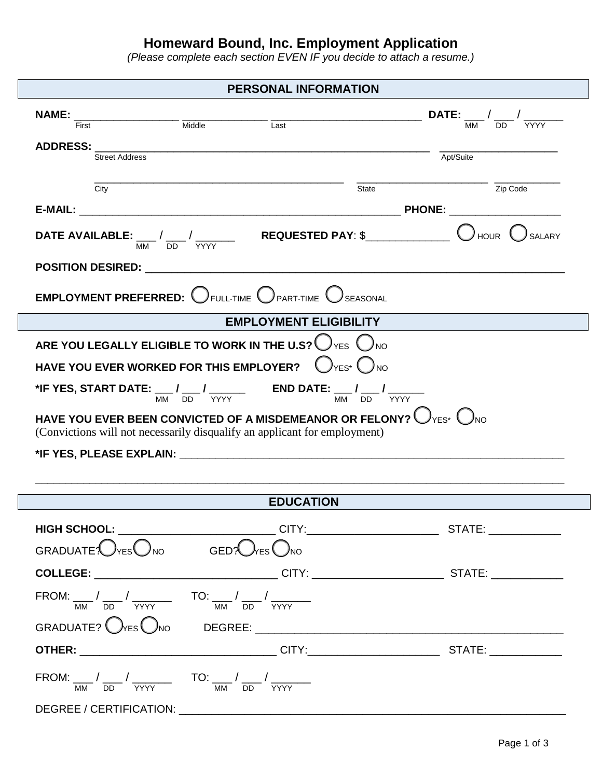# **Homeward Bound, Inc. Employment Application**

*(Please complete each section EVEN IF you decide to attach a resume.)*

## **PERSONAL INFORMATION**

|                | <b>NAME:</b> $\frac{1}{\text{First}}$ $\frac{1}{\text{Initiale}}$ $\frac{1}{\text{Last}}$ $\frac{1}{\text{Last}}$ <b>DATE:</b> $\frac{1}{\text{MM}}$ $\frac{1}{\text{DD}}$ $\frac{1}{\text{YYYY}}$ |                  |                                                                                                          |  |
|----------------|----------------------------------------------------------------------------------------------------------------------------------------------------------------------------------------------------|------------------|----------------------------------------------------------------------------------------------------------|--|
|                |                                                                                                                                                                                                    |                  |                                                                                                          |  |
| Street Address |                                                                                                                                                                                                    |                  | Apt/Suite                                                                                                |  |
|                |                                                                                                                                                                                                    |                  |                                                                                                          |  |
| City           |                                                                                                                                                                                                    | State            | $\frac{1}{\text{Zip Code}}$                                                                              |  |
|                |                                                                                                                                                                                                    |                  |                                                                                                          |  |
|                |                                                                                                                                                                                                    |                  |                                                                                                          |  |
|                |                                                                                                                                                                                                    |                  |                                                                                                          |  |
|                | <b>EMPLOYMENT PREFERRED:</b> $\bigcirc$ full-time $\bigcirc$ part-time $\bigcirc$ seasonal                                                                                                         |                  |                                                                                                          |  |
|                | EMPLOYMENT ELIGIBILITY                                                                                                                                                                             |                  |                                                                                                          |  |
|                | ARE YOU LEGALLY ELIGIBLE TO WORK IN THE U.S? $\bigcup_{Y \in S} \bigcup_{N \circ S}$                                                                                                               |                  |                                                                                                          |  |
|                | HAVE YOU EVER WORKED FOR THIS EMPLOYER? $\bigcup_{Y \in S^*} \bigcap_{N \circ S}$                                                                                                                  |                  |                                                                                                          |  |
|                | <b>*IF YES, START DATE:</b> $\frac{1}{MM}$ $\frac{1}{DD}$ $\frac{1}{YYYY}$ <b>END DATE:</b> $\frac{1}{MM}$ $\frac{1}{DD}$ $\frac{1}{YYYY}$                                                         |                  |                                                                                                          |  |
|                | HAVE YOU EVER BEEN CONVICTED OF A MISDEMEANOR OR FELONY? $\bigcirc$ YES* $\bigcirc$ NO<br>(Convictions will not necessarily disqualify an applicant for employment)                                |                  |                                                                                                          |  |
|                |                                                                                                                                                                                                    |                  |                                                                                                          |  |
|                |                                                                                                                                                                                                    |                  |                                                                                                          |  |
|                |                                                                                                                                                                                                    |                  |                                                                                                          |  |
|                |                                                                                                                                                                                                    | <b>EDUCATION</b> |                                                                                                          |  |
|                |                                                                                                                                                                                                    |                  | HIGH SCHOOL: ___________________________CITY:__________________________STATE: ______________             |  |
|                | GRADUATE: $\bigcirc$ res $\bigcirc$ no GED? $\bigcirc$ res $\bigcirc$ no                                                                                                                           |                  |                                                                                                          |  |
|                |                                                                                                                                                                                                    |                  |                                                                                                          |  |
|                | $\text{FROM:} \begin{array}{c c c} & \text{TO:} & \text{TO:} & \text{TO:} & \text{TO:} & \text{CP} \end{array} \label{eq:ROM:ROM:}$                                                                |                  |                                                                                                          |  |
|                |                                                                                                                                                                                                    |                  |                                                                                                          |  |
|                |                                                                                                                                                                                                    |                  | <b>OTHER:</b> __________________________________CITY:___________________________STATE: _________________ |  |
|                | FROM: $\frac{1}{MN}$ $\frac{1}{DD}$ $\frac{1}{YYYY}$ TO: $\frac{1}{MN}$ $\frac{1}{DD}$ $\frac{1}{YYYY}$                                                                                            |                  |                                                                                                          |  |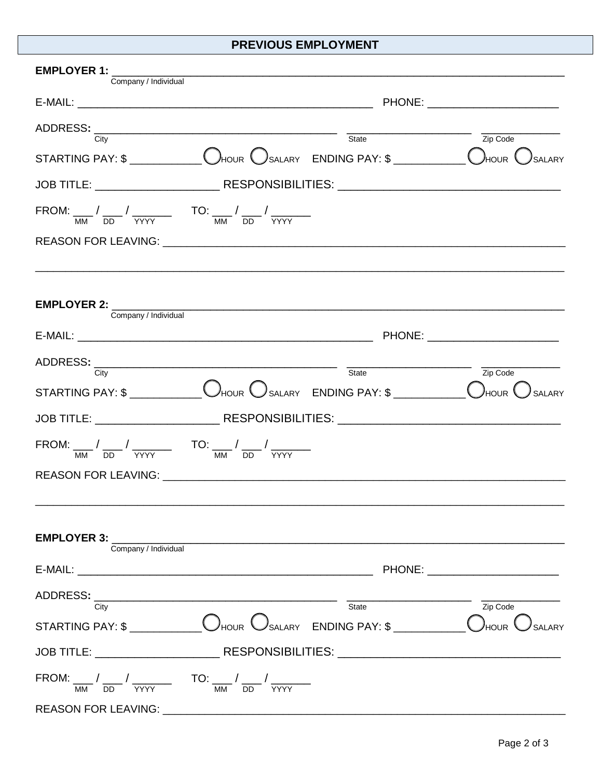### PREVIOUS EMPLOYMENT

| EMPLOYER 1: Company / Individual Company / Individual                                                                                                                                                                                                                                                                                                                                                                                                                                                |  |  |                               |  |
|------------------------------------------------------------------------------------------------------------------------------------------------------------------------------------------------------------------------------------------------------------------------------------------------------------------------------------------------------------------------------------------------------------------------------------------------------------------------------------------------------|--|--|-------------------------------|--|
|                                                                                                                                                                                                                                                                                                                                                                                                                                                                                                      |  |  |                               |  |
|                                                                                                                                                                                                                                                                                                                                                                                                                                                                                                      |  |  |                               |  |
| $\begin{tabular}{c} ADDRESS: \begin{tabular}{ c c c } \hline \multicolumn{3}{ c }{\text{City}} & \multicolumn{3}{ c }{\text{State}} \\ \hline \multicolumn{3}{ c }{\text{State}} & \multicolumn{3}{ c }{\text{State}} \\ \hline \multicolumn{3}{ c }{\text{State}} & \multicolumn{3}{ c }{\text{State}} \\ \hline \multicolumn{3}{ c }{\text{State}} & \multicolumn{3}{ c }{\text{State}} \\ \hline \multicolumn{3}{ c }{\text{State}} & \multicolumn{3}{ c }{\text{State}} \\ \hline \multicolumn{$ |  |  | Zip Code                      |  |
| STARTING PAY: $\$\_\_\_\_\_\_\_\_\_$ Dhour $\bigcirc$ salary $\_\_\_\_\_\_\_$ ENDING PAY: $\$\_\_\_\_\_\_\_\_$ Dhour $\bigcirc$ salary                                                                                                                                                                                                                                                                                                                                                               |  |  |                               |  |
|                                                                                                                                                                                                                                                                                                                                                                                                                                                                                                      |  |  |                               |  |
| FROM: $\frac{1}{MN}$ $\frac{1}{DD}$ $\frac{1}{YYYY}$ TO: $\frac{1}{MN}$ $\frac{1}{DD}$ $\frac{1}{YYYY}$                                                                                                                                                                                                                                                                                                                                                                                              |  |  |                               |  |
|                                                                                                                                                                                                                                                                                                                                                                                                                                                                                                      |  |  |                               |  |
|                                                                                                                                                                                                                                                                                                                                                                                                                                                                                                      |  |  |                               |  |
| EMPLOYER 2: Company / Individual Company / Individual                                                                                                                                                                                                                                                                                                                                                                                                                                                |  |  |                               |  |
|                                                                                                                                                                                                                                                                                                                                                                                                                                                                                                      |  |  |                               |  |
|                                                                                                                                                                                                                                                                                                                                                                                                                                                                                                      |  |  |                               |  |
|                                                                                                                                                                                                                                                                                                                                                                                                                                                                                                      |  |  | $\overline{Zip \text{ Code}}$ |  |
| STARTING PAY: $\frac{\mathsf{S}}{\mathsf{S}}$ $\frac{\mathsf{S}}{\mathsf{S}}$ $\frac{\mathsf{S}}{\mathsf{S}}$ $\frac{\mathsf{S}}{\mathsf{S}}$ $\frac{\mathsf{S}}{\mathsf{S}}$ $\frac{\mathsf{S}}{\mathsf{S}}$ $\frac{\mathsf{S}}{\mathsf{S}}$ $\frac{\mathsf{S}}{\mathsf{S}}$ $\frac{\mathsf{S}}{\mathsf{S}}$ $\frac{\mathsf{S}}{\mathsf{S}}$ $\frac{\mathsf{S}}{\mathsf{S}}$ $\frac{\mathsf{S}}{\mathsf{S}}$ $\frac$                                                                                |  |  |                               |  |
|                                                                                                                                                                                                                                                                                                                                                                                                                                                                                                      |  |  |                               |  |
| FROM: $\frac{1}{MN}$ $\frac{1}{DD}$ $\frac{1}{YYYY}$ TO: $\frac{1}{MN}$ $\frac{1}{DD}$ $\frac{1}{YYYY}$                                                                                                                                                                                                                                                                                                                                                                                              |  |  |                               |  |
| REASON FOR LEAVING: University of the contract of the contract of the contract of the contract of the contract of the contract of the contract of the contract of the contract of the contract of the contract of the contract                                                                                                                                                                                                                                                                       |  |  |                               |  |
|                                                                                                                                                                                                                                                                                                                                                                                                                                                                                                      |  |  |                               |  |
| EMPLOYER 3: Company / Individual Company / Individual                                                                                                                                                                                                                                                                                                                                                                                                                                                |  |  |                               |  |
|                                                                                                                                                                                                                                                                                                                                                                                                                                                                                                      |  |  |                               |  |
| $\begin{tabular}{c} ADDRESS: \begin{tabular}{ c c c } \hline \multicolumn{3}{ c }{\text{City}} & \multicolumn{3}{ c }{\text{State}} \\ \hline \multicolumn{3}{ c }{\text{State}} & \multicolumn{3}{ c }{\text{State}} \\ \hline \multicolumn{3}{ c }{\text{State}} & \multicolumn{3}{ c }{\text{State}} \\ \hline \multicolumn{3}{ c }{\text{State}} & \multicolumn{3}{ c }{\text{State}} \\ \hline \multicolumn{3}{ c }{\text{State}} & \multicolumn{3}{ c }{\text{State}} \\ \hline \multicolumn{$ |  |  | $\overline{Zip\text{ Code}}$  |  |
|                                                                                                                                                                                                                                                                                                                                                                                                                                                                                                      |  |  |                               |  |
|                                                                                                                                                                                                                                                                                                                                                                                                                                                                                                      |  |  |                               |  |
|                                                                                                                                                                                                                                                                                                                                                                                                                                                                                                      |  |  |                               |  |
| FROM: $\frac{1}{MN}$ $\frac{1}{DD}$ $\frac{1}{YYYY}$ TO: $\frac{1}{MN}$ $\frac{1}{DD}$ $\frac{1}{YYYY}$                                                                                                                                                                                                                                                                                                                                                                                              |  |  |                               |  |
| <b>REASON FOR LEAVING:</b>                                                                                                                                                                                                                                                                                                                                                                                                                                                                           |  |  |                               |  |